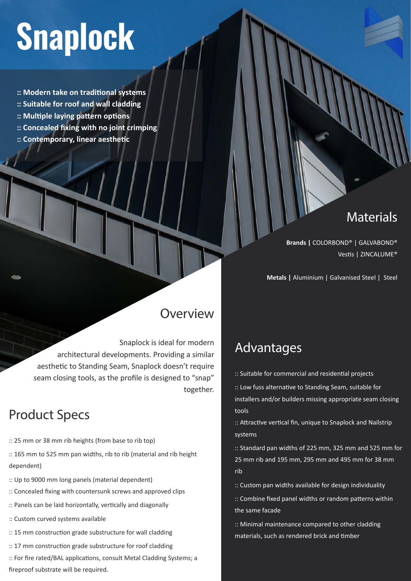# **Snaplock**

**:: Modern take on traditional systems**

- **:: Suitable for roof and wall cladding**
- **:: Multiple laying pattern options**
- **:: Concealed fixing with no joint crimping**
- **:: Contemporary, linear aesthetic**

#### **Materials**

**Brands |** COLORBOND® | GALVABOND® Vestis | ZINCALUME®

**Metals |** Aluminium | Galvanised Steel | Steel

#### Overview

Snaplock is ideal for modern architectural developments. Providing a similar aesthetic to Standing Seam, Snaplock doesn't require seam closing tools, as the profile is designed to "snap" together.

## Product Specs

- :: 25 mm or 38 mm rib heights (from base to rib top)
- :: 165 mm to 525 mm pan widths, rib to rib (material and rib height dependent)
- :: Up to 9000 mm long panels (material dependent)
- :: Concealed fixing with countersunk screws and approved clips
- :: Panels can be laid horizontally, vertically and diagonally
- :: Custom curved systems available
- :: 15 mm construction grade substructure for wall cladding
- :: 17 mm construction grade substructure for roof cladding
- :: For fire rated/BAL applications, consult Metal Cladding Systems; a fireproof substrate will be required.

### Advantages

:: Suitable for commercial and residential projects

:: Low fuss alternative to Standing Seam, suitable for installers and/or builders missing appropriate seam closing tools

:: Attractive vertical fin, unique to Snaplock and Nailstrip systems

:: Standard pan widths of 225 mm, 325 mm and 525 mm for 25 mm rib and 195 mm, 295 mm and 495 mm for 38 mm rib

:: Custom pan widths available for design individuality

:: Combine fixed panel widths or random patterns within the same facade

:: Minimal maintenance compared to other cladding materials, such as rendered brick and timber